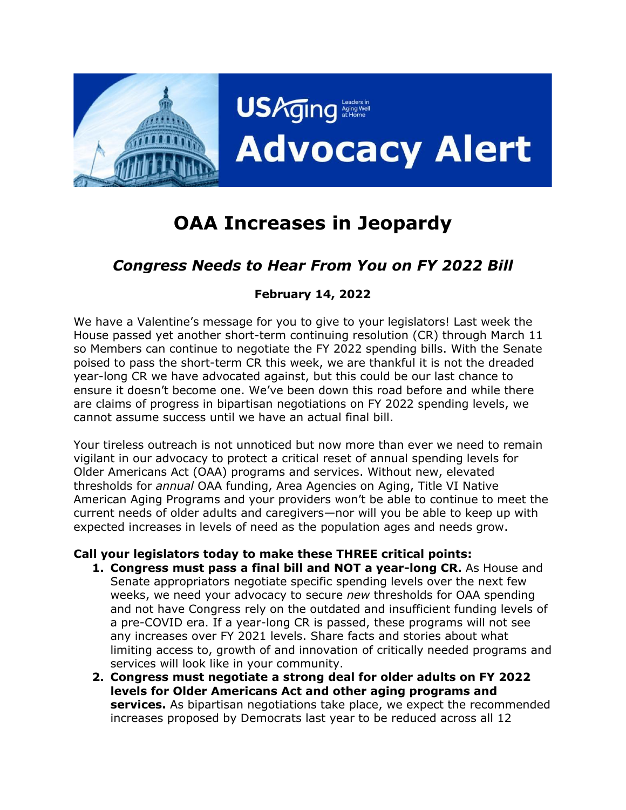

# **OAA Increases in Jeopardy**

## *Congress Needs to Hear From You on FY 2022 Bill*

#### **February 14, 2022**

We have a Valentine's message for you to give to your legislators! Last week the House passed yet another short-term continuing resolution (CR) through March 11 so Members can continue to negotiate the FY 2022 spending bills. With the Senate poised to pass the short-term CR this week, we are thankful it is not the dreaded year-long CR we have advocated against, but this could be our last chance to ensure it doesn't become one. We've been down this road before and while there are claims of progress in bipartisan negotiations on FY 2022 spending levels, we cannot assume success until we have an actual final bill.

Your tireless outreach is not unnoticed but now more than ever we need to remain vigilant in our advocacy to protect a critical reset of annual spending levels for Older Americans Act (OAA) programs and services. Without new, elevated thresholds for *annual* OAA funding, Area Agencies on Aging, Title VI Native American Aging Programs and your providers won't be able to continue to meet the current needs of older adults and caregivers—nor will you be able to keep up with expected increases in levels of need as the population ages and needs grow.

#### **Call your legislators today to make these THREE critical points:**

- **1. Congress must pass a final bill and NOT a year-long CR.** As House and Senate appropriators negotiate specific spending levels over the next few weeks, we need your advocacy to secure *new* thresholds for OAA spending and not have Congress rely on the outdated and insufficient funding levels of a pre-COVID era. If a year-long CR is passed, these programs will not see any increases over FY 2021 levels. Share facts and stories about what limiting access to, growth of and innovation of critically needed programs and services will look like in your community.
- **2. Congress must negotiate a strong deal for older adults on FY 2022 levels for Older Americans Act and other aging programs and services.** As bipartisan negotiations take place, we expect the recommended increases proposed by Democrats last year to be reduced across all 12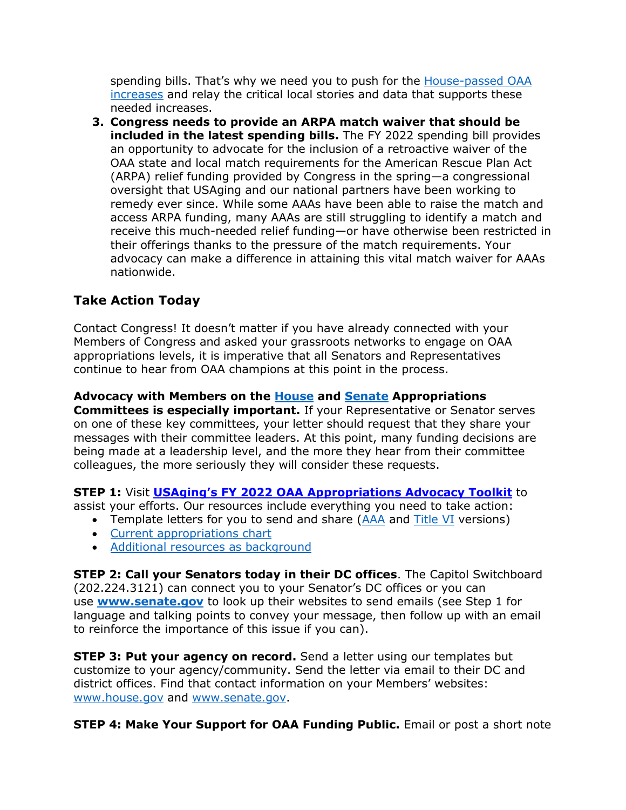spending bills. That's why we need you to push for the [House-passed OAA](https://www.usaging.org/Files/USAging%20FY22%20Approps%20Asks%20_Fall%20Followup_10.20.21.pdf)  [increases](https://www.usaging.org/Files/USAging%20FY22%20Approps%20Asks%20_Fall%20Followup_10.20.21.pdf) and relay the critical local stories and data that supports these needed increases.

**3. Congress needs to provide an ARPA match waiver that should be included in the latest spending bills.** The FY 2022 spending bill provides an opportunity to advocate for the inclusion of a retroactive waiver of the OAA state and local match requirements for the American Rescue Plan Act (ARPA) relief funding provided by Congress in the spring—a congressional oversight that USAging and our national partners have been working to remedy ever since. While some AAAs have been able to raise the match and access ARPA funding, many AAAs are still struggling to identify a match and receive this much-needed relief funding—or have otherwise been restricted in their offerings thanks to the pressure of the match requirements. Your advocacy can make a difference in attaining this vital match waiver for AAAs nationwide.

### **Take Action Today**

Contact Congress! It doesn't matter if you have already connected with your Members of Congress and asked your grassroots networks to engage on OAA appropriations levels, it is imperative that all Senators and Representatives continue to hear from OAA champions at this point in the process.

**Advocacy with Members on the [House](https://appropriations.house.gov/about/membership) and [Senate](https://www.appropriations.senate.gov/about/members) Appropriations** 

**Committees is especially important.** If your Representative or Senator serves on one of these key committees, your letter should request that they share your messages with their committee leaders. At this point, many funding decisions are being made at a leadership level, and the more they hear from their committee colleagues, the more seriously they will consider these requests.

**STEP 1:** Visit **[USAging's FY 2022 OAA Appropriations Advocacy Toolkit](https://www.n4a.org/content.asp?admin=Y&contentid=1173)** to assist your efforts. Our resources include everything you need to take action:

- Template letters for you to send and share [\(AAA](http://www.usaging.org/Files/Updated%20AAA%20Template%20Letter%20for%20FY%202022%20Approps%20Requests%2010.27.21_Final.docx) and [Title VI](https://www.usaging.org/Files/Updated%20Title%20VI%20Template%20Letter%20for%20FY%202022_FINAL.docx) versions)
- [Current appropriations chart](https://www.usaging.org/Files/FY%202022%20Labor-HHS%20Sen%20Dem%20Proposed%20Appropriations%20Chart_10.20.pdf)
- [Additional resources as background](https://www.n4a.org/content.asp?admin=Y&contentid=1173)

**STEP 2: Call your Senators today in their DC offices**. The Capitol Switchboard (202.224.3121) can connect you to your Senator's DC offices or you can use **[www.senate.gov](https://www.senate.gov/)** to look up their websites to send emails (see Step 1 for language and talking points to convey your message, then follow up with an email to reinforce the importance of this issue if you can).

**STEP 3: Put your agency on record.** Send a letter using our templates but customize to your agency/community. Send the letter via email to their DC and district offices. Find that contact information on your Members' websites: [www.house.gov](http://www.house.gov/) and [www.senate.gov.](http://www.senate.gov/)

**STEP 4: Make Your Support for OAA Funding Public.** Email or post a short note